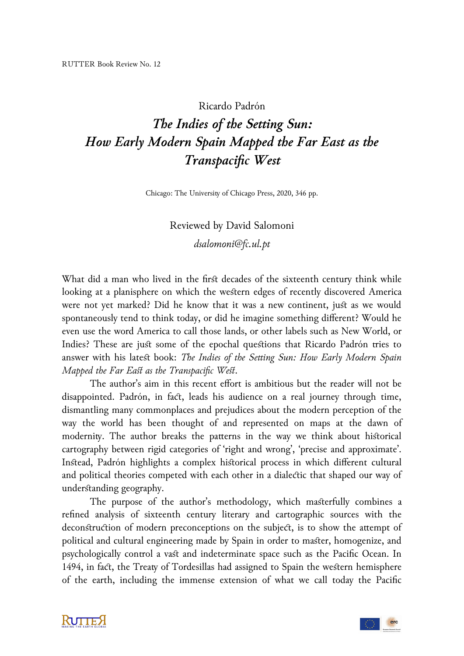## Ricardo Padrón

## *The Indies of the Setting Sun: How Early Modern Spain Mapped the Far East as the Transpacific West*

Chicago: The University of Chicago Press, 2020, 346 pp.

Reviewed by David Salomoni *dsalomoni@fc.ul.pt*

What did a man who lived in the first decades of the sixteenth century think while looking at a planisphere on which the western edges of recently discovered America were not yet marked? Did he know that it was a new continent, just as we would spontaneously tend to think today, or did he imagine something different? Would he even use the word America to call those lands, or other labels such as New World, or Indies? These are just some of the epochal questions that Ricardo Padrón tries to answer with his latest book: *The Indies of the Setting Sun: How Early Modern Spain Mapped the Far East as the Transpacific West*.

The author's aim in this recent effort is ambitious but the reader will not be disappointed. Padrón, in fact, leads his audience on a real journey through time, dismantling many commonplaces and prejudices about the modern perception of the way the world has been thought of and represented on maps at the dawn of modernity. The author breaks the patterns in the way we think about historical cartography between rigid categories of 'right and wrong', 'precise and approximate'. Instead, Padrón highlights a complex historical process in which different cultural and political theories competed with each other in a dialectic that shaped our way of understanding geography.

The purpose of the author's methodology, which masterfully combines a refined analysis of sixteenth century literary and cartographic sources with the deconstruction of modern preconceptions on the subject, is to show the attempt of political and cultural engineering made by Spain in order to master, homogenize, and psychologically control a vast and indeterminate space such as the Pacific Ocean. In 1494, in fact, the Treaty of Tordesillas had assigned to Spain the western hemisphere of the earth, including the immense extension of what we call today the Pacific



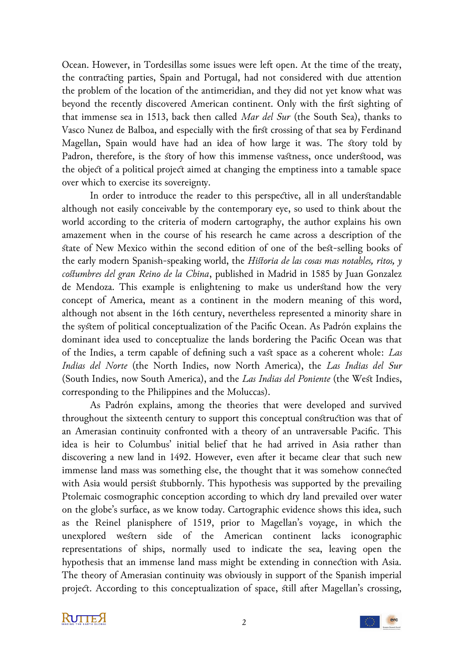Ocean. However, in Tordesillas some issues were left open. At the time of the treaty, the contracting parties, Spain and Portugal, had not considered with due attention the problem of the location of the antimeridian, and they did not yet know what was beyond the recently discovered American continent. Only with the first sighting of that immense sea in 1513, back then called *Mar del Sur* (the South Sea), thanks to Vasco Nunez de Balboa, and especially with the first crossing of that sea by Ferdinand Magellan, Spain would have had an idea of how large it was. The story told by Padron, therefore, is the story of how this immense vastness, once understood, was the object of a political project aimed at changing the emptiness into a tamable space over which to exercise its sovereignty.

In order to introduce the reader to this perspective, all in all understandable although not easily conceivable by the contemporary eye, so used to think about the world according to the criteria of modern cartography, the author explains his own amazement when in the course of his research he came across a description of the state of New Mexico within the second edition of one of the best-selling books of the early modern Spanish-speaking world, the *Historia de las cosas mas notables, ritos, y costumbres del gran Reino de la China*, published in Madrid in 1585 by Juan Gonzalez de Mendoza. This example is enlightening to make us understand how the very concept of America, meant as a continent in the modern meaning of this word, although not absent in the 16th century, nevertheless represented a minority share in the system of political conceptualization of the Pacific Ocean. As Padrón explains the dominant idea used to conceptualize the lands bordering the Pacific Ocean was that of the Indies, a term capable of defining such a vast space as a coherent whole: *Las Indias del Norte* (the North Indies, now North America), the *Las Indias del Sur* (South Indies, now South America), and the *Las Indias del Poniente* (the West Indies, corresponding to the Philippines and the Moluccas).

As Padrón explains, among the theories that were developed and survived throughout the sixteenth century to support this conceptual construction was that of an Amerasian continuity confronted with a theory of an untraversable Pacific. This idea is heir to Columbus' initial belief that he had arrived in Asia rather than discovering a new land in 1492. However, even after it became clear that such new immense land mass was something else, the thought that it was somehow connected with Asia would persist stubbornly. This hypothesis was supported by the prevailing Ptolemaic cosmographic conception according to which dry land prevailed over water on the globe's surface, as we know today. Cartographic evidence shows this idea, such as the Reinel planisphere of 1519, prior to Magellan's voyage, in which the unexplored western side of the American continent lacks iconographic representations of ships, normally used to indicate the sea, leaving open the hypothesis that an immense land mass might be extending in connection with Asia. The theory of Amerasian continuity was obviously in support of the Spanish imperial project. According to this conceptualization of space, still after Magellan's crossing,



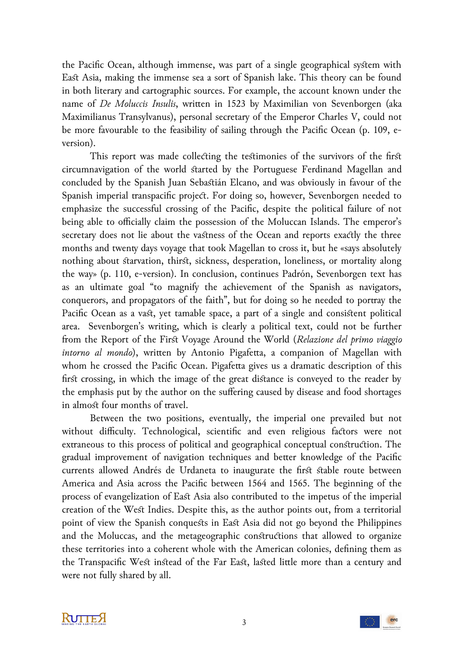the Pacific Ocean, although immense, was part of a single geographical system with East Asia, making the immense sea a sort of Spanish lake. This theory can be found in both literary and cartographic sources. For example, the account known under the name of *De Moluccis Insulis*, written in 1523 by Maximilian von Sevenborgen (aka Maximilianus Transylvanus), personal secretary of the Emperor Charles V, could not be more favourable to the feasibility of sailing through the Pacific Ocean (p. 109, eversion).

This report was made collecting the testimonies of the survivors of the first circumnavigation of the world started by the Portuguese Ferdinand Magellan and concluded by the Spanish Juan Sebastián Elcano, and was obviously in favour of the Spanish imperial transpacific project. For doing so, however, Sevenborgen needed to emphasize the successful crossing of the Pacific, despite the political failure of not being able to officially claim the possession of the Moluccan Islands. The emperor's secretary does not lie about the vastness of the Ocean and reports exactly the three months and twenty days voyage that took Magellan to cross it, but he «says absolutely nothing about starvation, thirst, sickness, desperation, loneliness, or mortality along the way» (p. 110, e-version). In conclusion, continues Padrón, Sevenborgen text has as an ultimate goal "to magnify the achievement of the Spanish as navigators, conquerors, and propagators of the faith", but for doing so he needed to portray the Pacific Ocean as a vast, yet tamable space, a part of a single and consistent political area. Sevenborgen's writing, which is clearly a political text, could not be further from the Report of the First Voyage Around the World (*Relazione del primo viaggio intorno al mondo*), written by Antonio Pigafetta, a companion of Magellan with whom he crossed the Pacific Ocean. Pigafetta gives us a dramatic description of this first crossing, in which the image of the great distance is conveyed to the reader by the emphasis put by the author on the suffering caused by disease and food shortages in almost four months of travel.

Between the two positions, eventually, the imperial one prevailed but not without difficulty. Technological, scientific and even religious factors were not extraneous to this process of political and geographical conceptual construction. The gradual improvement of navigation techniques and better knowledge of the Pacific currents allowed Andrés de Urdaneta to inaugurate the first stable route between America and Asia across the Pacific between 1564 and 1565. The beginning of the process of evangelization of East Asia also contributed to the impetus of the imperial creation of the West Indies. Despite this, as the author points out, from a territorial point of view the Spanish conquests in East Asia did not go beyond the Philippines and the Moluccas, and the metageographic constructions that allowed to organize these territories into a coherent whole with the American colonies, defining them as the Transpacific West instead of the Far East, lasted little more than a century and were not fully shared by all.